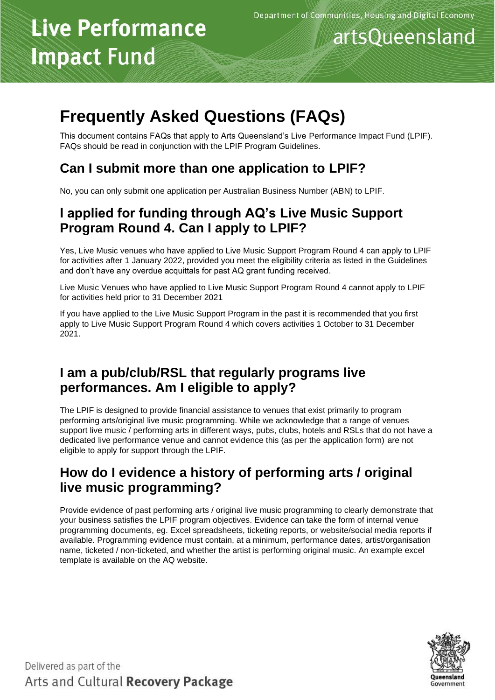# **Live Performance Impact Fund**

## artsQueensland

### **Frequently Asked Questions (FAQs)**

This document contains FAQs that apply to Arts Queensland's Live Performance Impact Fund (LPIF). FAQs should be read in conjunction with the LPIF Program Guidelines.

#### **Can I submit more than one application to LPIF?**

No, you can only submit one application per Australian Business Number (ABN) to LPIF.

#### **I applied for funding through AQ's Live Music Support Program Round 4. Can I apply to LPIF?**

Yes, Live Music venues who have applied to Live Music Support Program Round 4 can apply to LPIF for activities after 1 January 2022, provided you meet the eligibility criteria as listed in the Guidelines and don't have any overdue acquittals for past AQ grant funding received.

Live Music Venues who have applied to Live Music Support Program Round 4 cannot apply to LPIF for activities held prior to 31 December 2021

If you have applied to the Live Music Support Program in the past it is recommended that you first apply to Live Music Support Program Round 4 which covers activities 1 October to 31 December 2021.

#### **I am a pub/club/RSL that regularly programs live performances. Am I eligible to apply?**

The LPIF is designed to provide financial assistance to venues that exist primarily to program performing arts/original live music programming. While we acknowledge that a range of venues support live music / performing arts in different ways, pubs, clubs, hotels and RSLs that do not have a dedicated live performance venue and cannot evidence this (as per the application form) are not eligible to apply for support through the LPIF.

#### **How do I evidence a history of performing arts / original live music programming?**

Provide evidence of past performing arts / original live music programming to clearly demonstrate that your business satisfies the LPIF program objectives. Evidence can take the form of internal venue programming documents, eg. Excel spreadsheets, ticketing reports, or website/social media reports if available. Programming evidence must contain, at a minimum, performance dates, artist/organisation name, ticketed / non-ticketed, and whether the artist is performing original music. An example excel template is available on the AQ website.